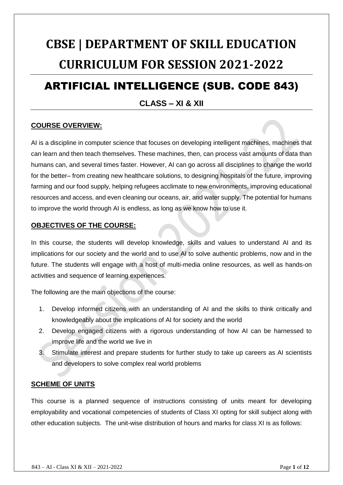## **CBSE | DEPARTMENT OF SKILL EDUCATION CURRICULUM FOR SESSION 2021-2022**

## ARTIFICIAL INTELLIGENCE (SUB. CODE 843)

#### **CLASS – XI & XII**

#### **COURSE OVERVIEW:**

AI is a discipline in computer science that focuses on developing intelligent machines, machines that can learn and then teach themselves. These machines, then, can process vast amounts of data than humans can, and several times faster. However, AI can go across all disciplines to change the world for the better– from creating new healthcare solutions, to designing hospitals of the future, improving farming and our food supply, helping refugees acclimate to new environments, improving educational resources and access, and even cleaning our oceans, air, and water supply. The potential for humans to improve the world through AI is endless, as long as we know how to use it.

#### **OBJECTIVES OF THE COURSE:**

In this course, the students will develop knowledge, skills and values to understand AI and its implications for our society and the world and to use AI to solve authentic problems, now and in the future. The students will engage with a host of multi-media online resources, as well as hands-on activities and sequence of learning experiences.

The following are the main objections of the course:

- 1. Develop informed citizens with an understanding of AI and the skills to think critically and knowledgeably about the implications of AI for society and the world
- 2. Develop engaged citizens with a rigorous understanding of how AI can be harnessed to improve life and the world we live in
- 3. Stimulate interest and prepare students for further study to take up careers as AI scientists and developers to solve complex real world problems

#### **SCHEME OF UNITS**

This course is a planned sequence of instructions consisting of units meant for developing employability and vocational competencies of students of Class XI opting for skill subject along with other education subjects. The unit-wise distribution of hours and marks for class XI is as follows: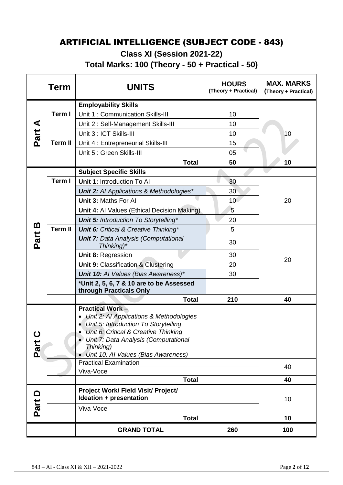## ARTIFICIAL INTELLIGENCE (SUBJECT CODE - 843)

**Class XI (Session 2021-22)**

**Total Marks: 100 (Theory - 50 + Practical - 50)**

|                   | Term           | <b>UNITS</b>                                                                                                                                                                                                                                          | <b>HOURS</b><br>(Theory + Practical) | <b>MAX. MARKS</b><br>(Theory + Practical) |
|-------------------|----------------|-------------------------------------------------------------------------------------------------------------------------------------------------------------------------------------------------------------------------------------------------------|--------------------------------------|-------------------------------------------|
|                   |                | <b>Employability Skills</b>                                                                                                                                                                                                                           |                                      |                                           |
|                   | Term I         | Unit 1: Communication Skills-III                                                                                                                                                                                                                      | 10                                   |                                           |
|                   |                | Unit 2: Self-Management Skills-III                                                                                                                                                                                                                    | 10                                   |                                           |
| Part A            |                | Unit 3 : ICT Skills-III                                                                                                                                                                                                                               | 10                                   | 10                                        |
|                   | <b>Term II</b> | Unit 4 : Entrepreneurial Skills-III                                                                                                                                                                                                                   | 15                                   |                                           |
|                   |                | Unit 5 : Green Skills-III                                                                                                                                                                                                                             | 05                                   |                                           |
|                   |                | <b>Total</b>                                                                                                                                                                                                                                          | 50                                   | 10                                        |
|                   |                | <b>Subject Specific Skills</b>                                                                                                                                                                                                                        |                                      |                                           |
|                   | Term I         | Unit 1: Introduction To Al                                                                                                                                                                                                                            | 30                                   |                                           |
|                   |                | <b>Unit 2:</b> Al Applications & Methodologies*                                                                                                                                                                                                       | 30                                   |                                           |
|                   |                | Unit 3: Maths For Al                                                                                                                                                                                                                                  | 10 <sup>°</sup>                      | 20                                        |
|                   |                | Unit 4: Al Values (Ethical Decision Making)                                                                                                                                                                                                           | 5                                    |                                           |
|                   |                | <b>Unit 5: Introduction To Storytelling*</b>                                                                                                                                                                                                          | 20                                   |                                           |
| <u>ന</u>          | <b>Term II</b> | <b>Unit 6:</b> Critical & Creative Thinking*                                                                                                                                                                                                          | 5                                    |                                           |
| Part              |                | <b>Unit 7: Data Analysis (Computational</b><br>Thinking)*                                                                                                                                                                                             | 30                                   |                                           |
|                   |                | Unit 8: Regression                                                                                                                                                                                                                                    | 30                                   | 20                                        |
|                   |                | Unit 9: Classification & Clustering                                                                                                                                                                                                                   | 20                                   |                                           |
|                   |                | Unit 10: Al Values (Bias Awareness)*                                                                                                                                                                                                                  | 30                                   |                                           |
|                   |                | *Unit 2, 5, 6, 7 & 10 are to be Assessed<br>through Practicals Only                                                                                                                                                                                   |                                      |                                           |
|                   |                | <b>Total</b>                                                                                                                                                                                                                                          | 210                                  | 40                                        |
| <u>ပ</u><br>Part  |                | <b>Practical Work-</b><br>• Unit 2: Al Applications & Methodologies<br>• Unit 5: Introduction To Storytelling<br>Unit 6: Critical & Creative Thinking<br>• Unit 7: Data Analysis (Computational<br>Thinking)<br>• Unit 10: AI Values (Bias Awareness) |                                      |                                           |
|                   |                | <b>Practical Examination</b>                                                                                                                                                                                                                          |                                      | 40                                        |
|                   |                | Viva-Voce                                                                                                                                                                                                                                             |                                      |                                           |
|                   |                | <b>Total</b>                                                                                                                                                                                                                                          |                                      | 40                                        |
| $\mathbf{\Omega}$ |                | Project Work/ Field Visit/ Project/<br>Ideation + presentation                                                                                                                                                                                        |                                      | 10                                        |
| Part              |                | Viva-Voce                                                                                                                                                                                                                                             |                                      |                                           |
|                   |                | <b>Total</b>                                                                                                                                                                                                                                          |                                      | 10                                        |
|                   |                | <b>GRAND TOTAL</b>                                                                                                                                                                                                                                    | 260                                  | 100                                       |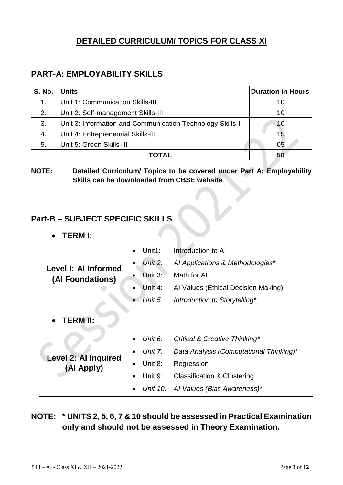## **DETAILED CURRICULUM/ TOPICS FOR CLASS XI**

#### **PART-A: EMPLOYABILITY SKILLS**

| <b>S. No.</b> | <b>Units</b>                                                | <b>Duration in Hours</b> |
|---------------|-------------------------------------------------------------|--------------------------|
| 1.            | Unit 1: Communication Skills-III                            | 10                       |
| 2.            | Unit 2: Self-management Skills-III                          | 10                       |
| 3.            | Unit 3: Information and Communication Technology Skills-III | 10                       |
| 4.            | Unit 4: Entrepreneurial Skills-III                          | 15                       |
| 5.            | Unit 5: Green Skills-III                                    | 05                       |
|               | TOTAL                                                       | 50                       |

#### **NOTE: Detailed Curriculum/ Topics to be covered under Part A: Employability Skills can be downloaded from CBSE website**.

## **Part-B – SUBJECT SPECIFIC SKILLS**

#### • **TERM I:**

|                      | Unit1:  | Introduction to AI                          |
|----------------------|---------|---------------------------------------------|
| Level I: Al Informed | Unit 2: | Al Applications & Methodologies*            |
| (Al Foundations)     |         | Unit 3: Math for Al                         |
|                      |         | Unit 4: Al Values (Ethical Decision Making) |
|                      |         | • Unit 5: Introduction to Storytelling*     |

• **TERM II:**

|                                    |         | • Unit 6: Critical & Creative Thinking*           |
|------------------------------------|---------|---------------------------------------------------|
|                                    |         | • Unit 7: Data Analysis (Computational Thinking)* |
| Level 2: Al Inquired<br>(Al Apply) | Unit 8: | Regression                                        |
|                                    |         | Unit 9: Classification & Clustering               |
|                                    |         | • Unit 10: Al Values (Bias Awareness)*            |

## **NOTE: \* UNITS 2, 5, 6, 7 & 10 should be assessed in Practical Examination only and should not be assessed in Theory Examination.**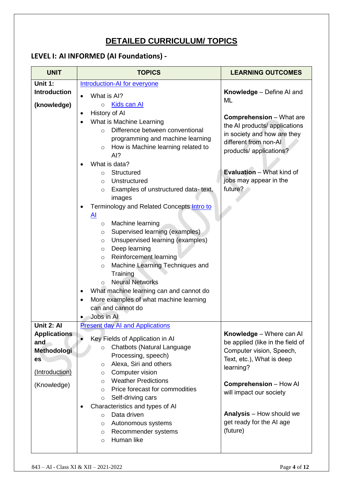## **DETAILED CURRICULUM/ TOPICS**

## **LEVEL I: AI INFORMED (AI Foundations) -**

| <b>UNIT</b>         | <b>TOPICS</b>                                                | <b>LEARNING OUTCOMES</b>                                     |
|---------------------|--------------------------------------------------------------|--------------------------------------------------------------|
| <b>Unit 1:</b>      | <b>Introduction-AI for everyone</b>                          |                                                              |
| <b>Introduction</b> | What is AI?                                                  | Knowledge - Define AI and                                    |
| (knowledge)         | Kids can Al<br>$\circ$                                       | <b>ML</b>                                                    |
|                     | History of Al<br>$\bullet$                                   |                                                              |
|                     | What is Machine Learning                                     | <b>Comprehension</b> – What are                              |
|                     | Difference between conventional<br>$\bigcirc$                | the AI products/ applications<br>in society and how are they |
|                     | programming and machine learning                             | different from non-Al                                        |
|                     | How is Machine learning related to<br>$\circ$                | products/ applications?                                      |
|                     | AI?                                                          |                                                              |
|                     | What is data?                                                |                                                              |
|                     | Structured<br>$\circ$<br>Unstructured                        | <b>Evaluation</b> – What kind of<br>jobs may appear in the   |
|                     | $\circ$<br>Examples of unstructured data-text,               | future?                                                      |
|                     | $\circ$<br>images                                            |                                                              |
|                     | Terminology and Related Concepts Intro to                    |                                                              |
|                     | <u>AI</u>                                                    |                                                              |
|                     | Machine learning<br>$\circ$                                  |                                                              |
|                     | Supervised learning (examples)<br>O                          |                                                              |
|                     | Unsupervised learning (examples)<br>$\circ$                  |                                                              |
|                     | Deep learning<br>$\circ$                                     |                                                              |
|                     | Reinforcement learning<br>$\circ$                            |                                                              |
|                     | Machine Learning Techniques and<br>$\circ$                   |                                                              |
|                     | Training<br><b>Neural Networks</b>                           |                                                              |
|                     | $\circ$<br>What machine learning can and cannot do           |                                                              |
|                     | ٠<br>More examples of what machine learning                  |                                                              |
|                     | can and cannot do                                            |                                                              |
|                     | Jobs in Al                                                   |                                                              |
| Unit 2: Al          | <b>Present day AI and Applications</b>                       |                                                              |
| <b>Applications</b> |                                                              | Knowledge - Where can Al                                     |
| and                 | Key Fields of Application in Al                              | be applied (like in the field of                             |
| Methodologi         | Chatbots (Natural Language<br>$\circ$<br>Processing, speech) | Computer vision, Speech,                                     |
| es                  | Alexa, Siri and others<br>$\circ$                            | Text, etc.), What is deep                                    |
| (Introduction)      | Computer vision<br>$\circ$                                   | learning?                                                    |
|                     | <b>Weather Predictions</b><br>$\circ$                        |                                                              |
| (Knowledge)         | Price forecast for commodities<br>$\circ$                    | <b>Comprehension - How Al</b>                                |
|                     | Self-driving cars<br>$\circ$                                 | will impact our society                                      |
|                     | Characteristics and types of AI                              |                                                              |
|                     | Data driven<br>$\circ$                                       | <b>Analysis</b> – How should we                              |
|                     | Autonomous systems<br>$\circ$                                | get ready for the AI age                                     |
|                     | Recommender systems<br>$\circ$                               | (future)                                                     |
|                     | Human like<br>$\circ$                                        |                                                              |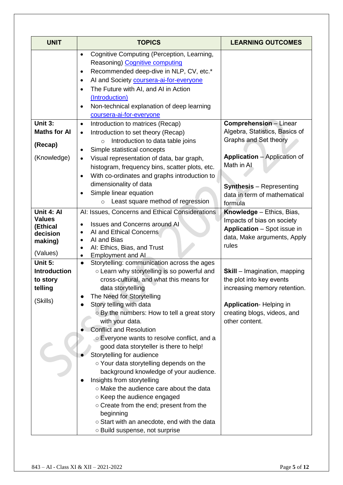| <b>UNIT</b>                                                                | <b>TOPICS</b>                                                                                                                                                                                                                                                                                                                                                                                                                                                                                                                                                                                                                                                                                                                                                                                    | <b>LEARNING OUTCOMES</b>                                                                                                                                                                                         |
|----------------------------------------------------------------------------|--------------------------------------------------------------------------------------------------------------------------------------------------------------------------------------------------------------------------------------------------------------------------------------------------------------------------------------------------------------------------------------------------------------------------------------------------------------------------------------------------------------------------------------------------------------------------------------------------------------------------------------------------------------------------------------------------------------------------------------------------------------------------------------------------|------------------------------------------------------------------------------------------------------------------------------------------------------------------------------------------------------------------|
|                                                                            | Cognitive Computing (Perception, Learning,<br>$\bullet$<br>Reasoning) Cognitive computing<br>Recommended deep-dive in NLP, CV, etc.*<br>٠<br>Al and Society coursera-ai-for-everyone<br>٠<br>The Future with AI, and AI in Action<br>$\bullet$<br>(Introduction)<br>Non-technical explanation of deep learning<br>٠<br>coursera-ai-for-everyone                                                                                                                                                                                                                                                                                                                                                                                                                                                  |                                                                                                                                                                                                                  |
| Unit 3:<br><b>Maths for Al</b><br>(Recap)<br>(Knowledge)                   | Introduction to matrices (Recap)<br>$\bullet$<br>Introduction to set theory (Recap)<br>$\bullet$<br>Introduction to data table joins<br>$\circ$<br>Simple statistical concepts<br>$\bullet$<br>Visual representation of data, bar graph,<br>$\bullet$<br>histogram, frequency bins, scatter plots, etc.<br>With co-ordinates and graphs introduction to<br>$\bullet$<br>dimensionality of data<br>Simple linear equation<br>$\bullet$                                                                                                                                                                                                                                                                                                                                                            | <b>Comprehension</b> - Linear<br>Algebra, Statistics, Basics of<br>Graphs and Set theory<br><b>Application</b> – Application of<br>Math in AL<br><b>Synthesis</b> - Representing<br>data in term of mathematical |
| Unit 4: Al<br><b>Values</b><br>(Ethical<br>decision<br>making)<br>(Values) | Least square method of regression<br>$\circ$<br>AI: Issues, Concerns and Ethical Considerations<br><b>Issues and Concerns around AI</b><br>$\bullet$<br>AI and Ethical Concerns<br>$\bullet$<br>AI and Bias<br>AI: Ethics, Bias, and Trust<br><b>Employment and Al</b>                                                                                                                                                                                                                                                                                                                                                                                                                                                                                                                           | formula<br>Knowledge - Ethics, Bias,<br>Impacts of bias on society<br>Application - Spot issue in<br>data, Make arguments, Apply<br>rules                                                                        |
| Unit 5:<br><b>Introduction</b><br>to story<br>telling<br>(Skills)          | Storytelling: communication across the ages<br>$\bullet$<br>o Learn why storytelling is so powerful and<br>cross-cultural, and what this means for<br>data storytelling<br>The Need for Storytelling<br>Story telling with data<br>o By the numbers: How to tell a great story<br>with your data.<br><b>Conflict and Resolution</b><br>○ Everyone wants to resolve conflict, and a<br>good data storyteller is there to help!<br>Storytelling for audience<br>○ Your data storytelling depends on the<br>background knowledge of your audience.<br>Insights from storytelling<br>o Make the audience care about the data<br>○ Keep the audience engaged<br>o Create from the end; present from the<br>beginning<br>○ Start with an anecdote, end with the data<br>o Build suspense, not surprise | <b>Skill</b> – Imagination, mapping<br>the plot into key events<br>increasing memory retention.<br><b>Application-Helping in</b><br>creating blogs, videos, and<br>other content.                                |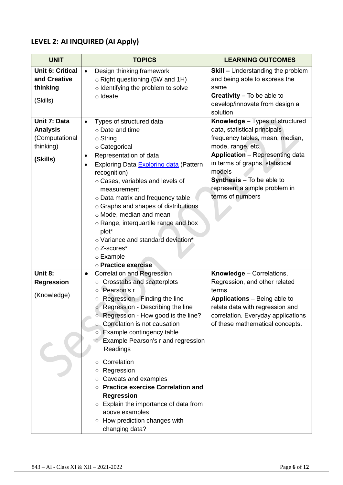#### **LEVEL 2: AI INQUIRED (AI Apply)**

| <b>UNIT</b>                                                                | <b>TOPICS</b>                                                                                                                                                                                                                                                                                                                                                                                                                                                                                  | <b>LEARNING OUTCOMES</b>                                                                                                                                                                                                                                                                                  |
|----------------------------------------------------------------------------|------------------------------------------------------------------------------------------------------------------------------------------------------------------------------------------------------------------------------------------------------------------------------------------------------------------------------------------------------------------------------------------------------------------------------------------------------------------------------------------------|-----------------------------------------------------------------------------------------------------------------------------------------------------------------------------------------------------------------------------------------------------------------------------------------------------------|
| <b>Unit 6: Critical</b><br>and Creative<br>thinking<br>(Skills)            | Design thinking framework<br>$\bullet$<br>$\circ$ Right questioning (5W and 1H)<br>o Identifying the problem to solve<br>o Ideate                                                                                                                                                                                                                                                                                                                                                              | <b>Skill - Understanding the problem</b><br>and being able to express the<br>same<br><b>Creativity – To be able to</b><br>develop/innovate from design a<br>solution                                                                                                                                      |
| Unit 7: Data<br><b>Analysis</b><br>(Computational<br>thinking)<br>(Skills) | Types of structured data<br>$\bullet$<br>o Date and time<br>$\circ$ String<br>o Categorical<br>Representation of data<br>٠<br>Exploring Data Exploring data (Pattern<br>٠<br>recognition)<br>o Cases, variables and levels of<br>measurement<br>o Data matrix and frequency table<br>o Graphs and shapes of distributions<br>o Mode, median and mean<br>o Range, interquartile range and box<br>plot*<br>o Variance and standard deviation*<br>o Z-scores*<br>○ Example<br>o Practice exercise | Knowledge - Types of structured<br>data, statistical principals -<br>frequency tables, mean, median,<br>mode, range, etc.<br><b>Application</b> - Representing data<br>in terms of graphs, statistical<br>models<br><b>Synthesis</b> - To be able to<br>represent a simple problem in<br>terms of numbers |
| Unit 8:                                                                    | <b>Correlation and Regression</b><br>$\bullet$                                                                                                                                                                                                                                                                                                                                                                                                                                                 | Knowledge - Correlations,                                                                                                                                                                                                                                                                                 |
| <b>Regression</b><br>(Knowledge)                                           | Crosstabs and scatterplots<br>$\circ$<br>Pearson's r<br>$\circ$<br>Regression - Finding the line<br>O<br>○ Regression - Describing the line<br>○ Regression - How good is the line?<br>Correlation is not causation<br>$\circ$<br>Example contingency table<br>$\circ$<br>Example Pearson's r and regression<br>Readings                                                                                                                                                                       | Regression, and other related<br>terms<br><b>Applications</b> – Being able to<br>relate data with regression and<br>correlation. Everyday applications<br>of these mathematical concepts.                                                                                                                 |
|                                                                            | Correlation<br>$\circ$<br>Regression<br>O<br>Caveats and examples<br>O<br><b>Practice exercise Correlation and</b><br>$\circ$<br><b>Regression</b><br>Explain the importance of data from<br>$\circ$<br>above examples<br>○ How prediction changes with<br>changing data?                                                                                                                                                                                                                      |                                                                                                                                                                                                                                                                                                           |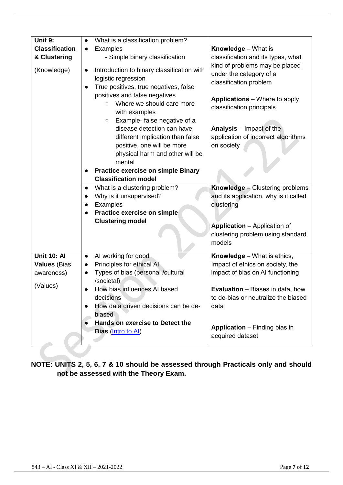| Unit 9:<br><b>Classification</b>                                    | What is a classification problem?<br><b>Examples</b><br>$\bullet$                                                                                                                                                                                                                                                                                                                            | <b>Knowledge</b> - What is                                                                                                                                                                                                                |
|---------------------------------------------------------------------|----------------------------------------------------------------------------------------------------------------------------------------------------------------------------------------------------------------------------------------------------------------------------------------------------------------------------------------------------------------------------------------------|-------------------------------------------------------------------------------------------------------------------------------------------------------------------------------------------------------------------------------------------|
| & Clustering                                                        | - Simple binary classification                                                                                                                                                                                                                                                                                                                                                               | classification and its types, what                                                                                                                                                                                                        |
| (Knowledge)                                                         | Introduction to binary classification with<br>logistic regression<br>True positives, true negatives, false<br>positives and false negatives<br>Where we should care more<br>$\circ$<br>with examples<br>Example- false negative of a<br>$\circ$<br>disease detection can have<br>different implication than false<br>positive, one will be more<br>physical harm and other will be<br>mental | kind of problems may be placed<br>under the category of a<br>classification problem<br><b>Applications</b> – Where to apply<br>classification principals<br>Analysis - Impact of the<br>application of incorrect algorithms<br>on society |
|                                                                     | <b>Practice exercise on simple Binary</b><br><b>Classification model</b>                                                                                                                                                                                                                                                                                                                     |                                                                                                                                                                                                                                           |
|                                                                     | What is a clustering problem?<br>Why is it unsupervised?<br>Examples<br>Practice exercise on simple<br><b>Clustering model</b>                                                                                                                                                                                                                                                               | Knowledge - Clustering problems<br>and its application, why is it called<br>clustering<br><b>Application</b> - Application of<br>clustering problem using standard<br>models                                                              |
| <b>Unit 10: Al</b><br><b>Values (Bias</b><br>awareness)<br>(Values) | AI working for good<br>$\bullet$<br>Principles for ethical Al<br>Types of bias (personal /cultural<br>$\bullet$<br>/societal)<br>How bias influences AI based<br>decisions<br>How data driven decisions can be de-                                                                                                                                                                           | Knowledge - What is ethics,<br>Impact of ethics on society, the<br>impact of bias on AI functioning<br><b>Evaluation</b> – Biases in data, how<br>to de-bias or neutralize the biased<br>data                                             |
|                                                                     | biased<br>Hands on exercise to Detect the<br>Bias (Intro to Al)                                                                                                                                                                                                                                                                                                                              | <b>Application</b> – Finding bias in<br>acquired dataset                                                                                                                                                                                  |

**NOTE: UNITS 2, 5, 6, 7 & 10 should be assessed through Practicals only and should not be assessed with the Theory Exam.**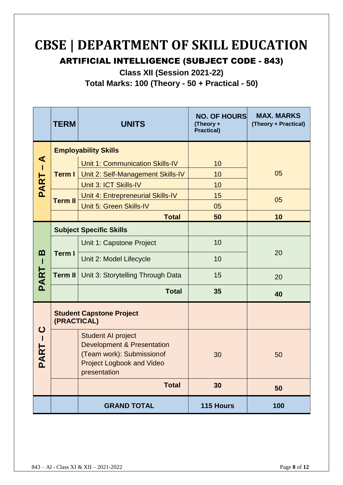# **CBSE | DEPARTMENT OF SKILL EDUCATION**

ARTIFICIAL INTELLIGENCE (SUBJECT CODE - 843)

**Class XII (Session 2021-22)**

**Total Marks: 100 (Theory - 50 + Practical - 50)**

|                      | <b>TERM</b>    | <b>UNITS</b>                                                                                                                                         | <b>NO. OF HOURS</b><br>(Theory +<br><b>Practical)</b> | <b>MAX. MARKS</b><br>(Theory + Practical) |
|----------------------|----------------|------------------------------------------------------------------------------------------------------------------------------------------------------|-------------------------------------------------------|-------------------------------------------|
|                      |                | <b>Employability Skills</b>                                                                                                                          |                                                       |                                           |
| ⋖<br>Т               | <b>Term I</b>  | <b>Unit 1: Communication Skills-IV</b>                                                                                                               | 10                                                    |                                           |
|                      |                | Unit 2: Self-Management Skills-IV                                                                                                                    | 10                                                    | 05                                        |
| PART                 |                | Unit 3: ICT Skills-IV                                                                                                                                | 10                                                    |                                           |
|                      | <b>Term II</b> | Unit 4: Entrepreneurial Skills-IV                                                                                                                    | 15                                                    | 05                                        |
|                      |                | Unit 5: Green Skills-IV                                                                                                                              | 05                                                    |                                           |
|                      |                | <b>Total</b>                                                                                                                                         | 50                                                    | 10                                        |
|                      |                | <b>Subject Specific Skills</b>                                                                                                                       |                                                       |                                           |
|                      | <b>Term I</b>  | Unit 1: Capstone Project                                                                                                                             | 10                                                    |                                           |
| <u>ന</u><br>п        |                | Unit 2: Model Lifecycle                                                                                                                              | 10                                                    | 20                                        |
| PAR <sup>-</sup>     | <b>Term II</b> | Unit 3: Storytelling Through Data                                                                                                                    | 20                                                    |                                           |
|                      |                | <b>Total</b>                                                                                                                                         | 35                                                    | 40                                        |
|                      | (PRACTICAL)    | <b>Student Capstone Project</b>                                                                                                                      |                                                       |                                           |
| ပ<br><b>ART</b><br>മ |                | <b>Student AI project</b><br><b>Development &amp; Presentation</b><br>(Team work): Submission of<br><b>Project Logbook and Video</b><br>presentation | 30                                                    | 50                                        |
|                      |                | <b>Total</b>                                                                                                                                         | 30                                                    | 50                                        |
|                      |                | <b>GRAND TOTAL</b>                                                                                                                                   | 115 Hours                                             | 100                                       |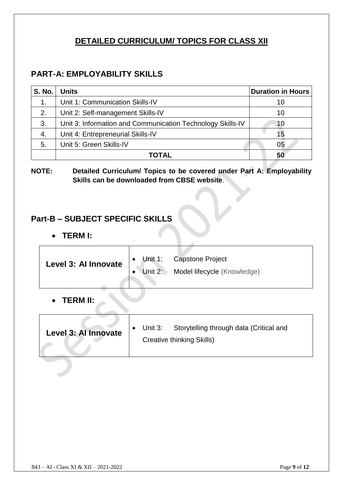## **DETAILED CURRICULUM/ TOPICS FOR CLASS XII**

## **PART-A: EMPLOYABILITY SKILLS**

| <b>S. No.</b> | <b>Units</b>                                               | <b>Duration in Hours</b> |
|---------------|------------------------------------------------------------|--------------------------|
| 1.            | Unit 1: Communication Skills-IV                            | 10                       |
| 2.            | Unit 2: Self-management Skills-IV                          | 10                       |
| 3.            | Unit 3: Information and Communication Technology Skills-IV | 10                       |
| 4.            | Unit 4: Entrepreneurial Skills-IV                          | 15                       |
| 5.            | Unit 5: Green Skills-IV                                    | 05                       |
|               | ΤΟΤΑΙ                                                      | 50                       |

#### **NOTE: Detailed Curriculum/ Topics to be covered under Part A: Employability Skills can be downloaded from CBSE website**.

#### **Part-B – SUBJECT SPECIFIC SKILLS**

• **TERM I:**

| Level 3: Al Innovate | $\bullet$<br>Unit 2: $\rightarrow$ | Unit 1: Capstone Project<br>Model lifecycle (Knowledge) |  |
|----------------------|------------------------------------|---------------------------------------------------------|--|
| <b>TERM II:</b>      |                                    |                                                         |  |

| Level 3: Al Innovate |  | Unit 3: Storytelling through data (Critical and<br><b>Creative thinking Skills)</b> |
|----------------------|--|-------------------------------------------------------------------------------------|
|----------------------|--|-------------------------------------------------------------------------------------|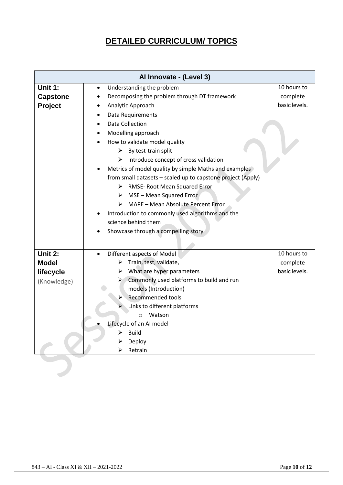## **DETAILED CURRICULUM/ TOPICS**

| Al Innovate - (Level 3) |                                                             |               |  |
|-------------------------|-------------------------------------------------------------|---------------|--|
| Unit 1:                 | Understanding the problem<br>$\bullet$                      | 10 hours to   |  |
| <b>Capstone</b>         | Decomposing the problem through DT framework<br>$\bullet$   | complete      |  |
| Project                 | Analytic Approach                                           | basic levels. |  |
|                         | Data Requirements                                           |               |  |
|                         | <b>Data Collection</b><br>$\bullet$                         |               |  |
|                         | Modelling approach<br>$\bullet$                             |               |  |
|                         | How to validate model quality<br>$\bullet$                  |               |  |
|                         | By test-train split<br>➤                                    |               |  |
|                         | $\triangleright$ Introduce concept of cross validation      |               |  |
|                         | Metrics of model quality by simple Maths and examples       |               |  |
|                         | from small datasets - scaled up to capstone project (Apply) |               |  |
|                         | RMSE- Root Mean Squared Error<br>➤                          |               |  |
|                         | $\triangleright$ MSE – Mean Squared Error                   |               |  |
|                         | $\triangleright$ MAPE - Mean Absolute Percent Error         |               |  |
|                         | Introduction to commonly used algorithms and the            |               |  |
|                         | science behind them                                         |               |  |
|                         | Showcase through a compelling story                         |               |  |
|                         |                                                             |               |  |
| Unit 2:                 | Different aspects of Model                                  | 10 hours to   |  |
| <b>Model</b>            | Train, test, validate,<br>➤                                 | complete      |  |
| lifecycle               | What are hyper parameters                                   | basic levels. |  |
| (Knowledge)             | Commonly used platforms to build and run<br>➤               |               |  |
|                         | models (Introduction)                                       |               |  |
|                         | Recommended tools                                           |               |  |
|                         | Links to different platforms                                |               |  |
|                         | Watson<br>$\circ$                                           |               |  |
|                         | Lifecycle of an AI model                                    |               |  |
|                         | <b>Build</b><br>⋗                                           |               |  |
|                         | Deploy                                                      |               |  |
|                         | Retrain<br>⋗                                                |               |  |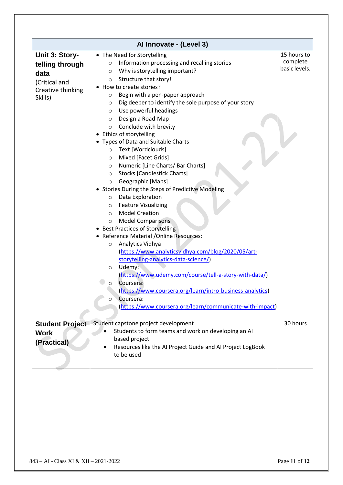| Al Innovate - (Level 3)                                                                    |                                                                                                                                                                                                                                                                                                                                                                                                                                                                                                                                                                                                                                                                                                                                                                                                                                                                                                                                                                                                                                                                                                                                                                                                                                                                                               |                                          |  |
|--------------------------------------------------------------------------------------------|-----------------------------------------------------------------------------------------------------------------------------------------------------------------------------------------------------------------------------------------------------------------------------------------------------------------------------------------------------------------------------------------------------------------------------------------------------------------------------------------------------------------------------------------------------------------------------------------------------------------------------------------------------------------------------------------------------------------------------------------------------------------------------------------------------------------------------------------------------------------------------------------------------------------------------------------------------------------------------------------------------------------------------------------------------------------------------------------------------------------------------------------------------------------------------------------------------------------------------------------------------------------------------------------------|------------------------------------------|--|
| Unit 3: Story-<br>telling through<br>data<br>(Critical and<br>Creative thinking<br>Skills) | • The Need for Storytelling<br>Information processing and recalling stories<br>$\circ$<br>Why is storytelling important?<br>$\circ$<br>Structure that story!<br>$\circ$<br>How to create stories?<br>Begin with a pen-paper approach<br>O<br>Dig deeper to identify the sole purpose of your story<br>O<br>Use powerful headings<br>$\circ$<br>Design a Road-Map<br>$\circ$<br>Conclude with brevity<br>$\circ$<br>Ethics of storytelling<br>Types of Data and Suitable Charts<br>Text [Wordclouds]<br>$\circ$<br>Mixed [Facet Grids]<br>$\circ$<br>Numeric [Line Charts/ Bar Charts]<br>$\circ$<br><b>Stocks [Candlestick Charts]</b><br>$\circ$<br>Geographic [Maps]<br>$\circ$<br>Stories During the Steps of Predictive Modeling<br>Data Exploration<br>$\circ$<br><b>Feature Visualizing</b><br>$\circ$<br><b>Model Creation</b><br>$\circ$<br><b>Model Comparisons</b><br>$\circ$<br><b>Best Practices of Storytelling</b><br>Reference Material /Online Resources:<br>Analytics Vidhya<br>$\circ$<br>(https://www.analyticsvidhya.com/blog/2020/05/art-<br>storytelling-analytics-data-science/)<br>Udemy:<br>$\circ$<br>(https://www.udemy.com/course/tell-a-story-with-data/)<br>Coursera:<br>$\circ$<br>(https://www.coursera.org/learn/intro-business-analytics)<br>Coursera:<br>O | 15 hours to<br>complete<br>basic levels. |  |
|                                                                                            | (https://www.coursera.org/learn/communicate-with-impact)                                                                                                                                                                                                                                                                                                                                                                                                                                                                                                                                                                                                                                                                                                                                                                                                                                                                                                                                                                                                                                                                                                                                                                                                                                      |                                          |  |
| <b>Student Project</b><br><b>Work</b><br>(Practical)                                       | Student capstone project development<br>Students to form teams and work on developing an AI<br>based project<br>Resources like the AI Project Guide and AI Project LogBook<br>to be used                                                                                                                                                                                                                                                                                                                                                                                                                                                                                                                                                                                                                                                                                                                                                                                                                                                                                                                                                                                                                                                                                                      | 30 hours                                 |  |